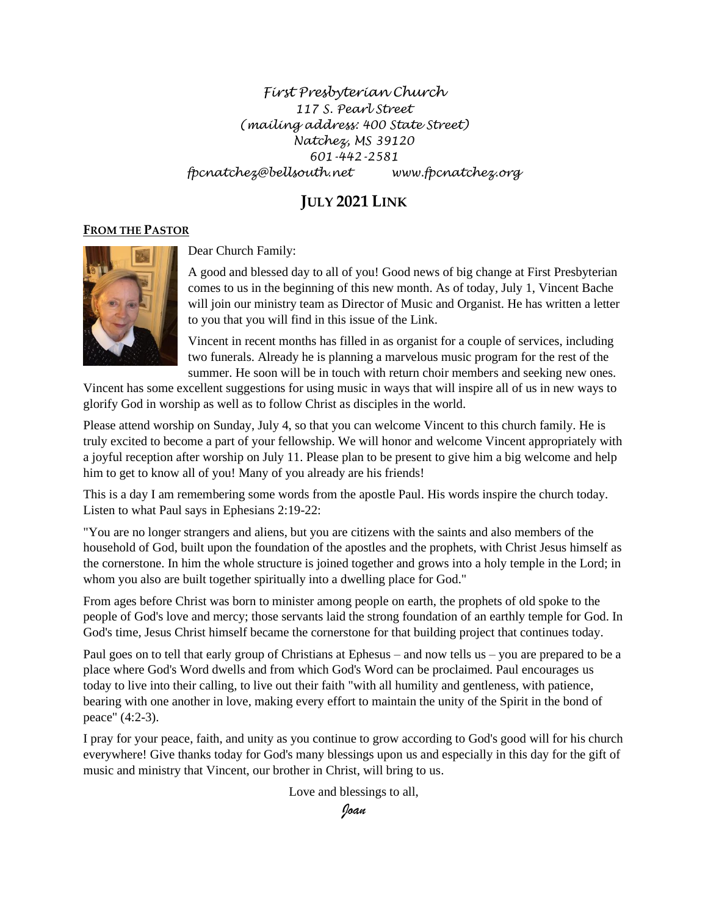### *First Presbyterian Church 117 S. Pearl Street (mailing address: 400 State Street) Natchez, MS 39120 601-442-2581 fpcnatchez@bellsouth.net www.fpcnatchez.org*

# **JULY 2021 LINK**

#### **FROM THE PASTOR**



Dear Church Family:

A good and blessed day to all of you! Good news of big change at First Presbyterian comes to us in the beginning of this new month. As of today, July 1, Vincent Bache will join our ministry team as Director of Music and Organist. He has written a letter to you that you will find in this issue of the Link.

Vincent in recent months has filled in as organist for a couple of services, including two funerals. Already he is planning a marvelous music program for the rest of the summer. He soon will be in touch with return choir members and seeking new ones.

Vincent has some excellent suggestions for using music in ways that will inspire all of us in new ways to glorify God in worship as well as to follow Christ as disciples in the world.

Please attend worship on Sunday, July 4, so that you can welcome Vincent to this church family. He is truly excited to become a part of your fellowship. We will honor and welcome Vincent appropriately with a joyful reception after worship on July 11. Please plan to be present to give him a big welcome and help him to get to know all of you! Many of you already are his friends!

This is a day I am remembering some words from the apostle Paul. His words inspire the church today. Listen to what Paul says in Ephesians 2:19-22:

"You are no longer strangers and aliens, but you are citizens with the saints and also members of the household of God, built upon the foundation of the apostles and the prophets, with Christ Jesus himself as the cornerstone. In him the whole structure is joined together and grows into a holy temple in the Lord; in whom you also are built together spiritually into a dwelling place for God."

From ages before Christ was born to minister among people on earth, the prophets of old spoke to the people of God's love and mercy; those servants laid the strong foundation of an earthly temple for God. In God's time, Jesus Christ himself became the cornerstone for that building project that continues today.

Paul goes on to tell that early group of Christians at Ephesus – and now tells us – you are prepared to be a place where God's Word dwells and from which God's Word can be proclaimed. Paul encourages us today to live into their calling, to live out their faith "with all humility and gentleness, with patience, bearing with one another in love, making every effort to maintain the unity of the Spirit in the bond of peace" (4:2-3).

I pray for your peace, faith, and unity as you continue to grow according to God's good will for his church everywhere! Give thanks today for God's many blessings upon us and especially in this day for the gift of music and ministry that Vincent, our brother in Christ, will bring to us.

Love and blessings to all,

*Joan*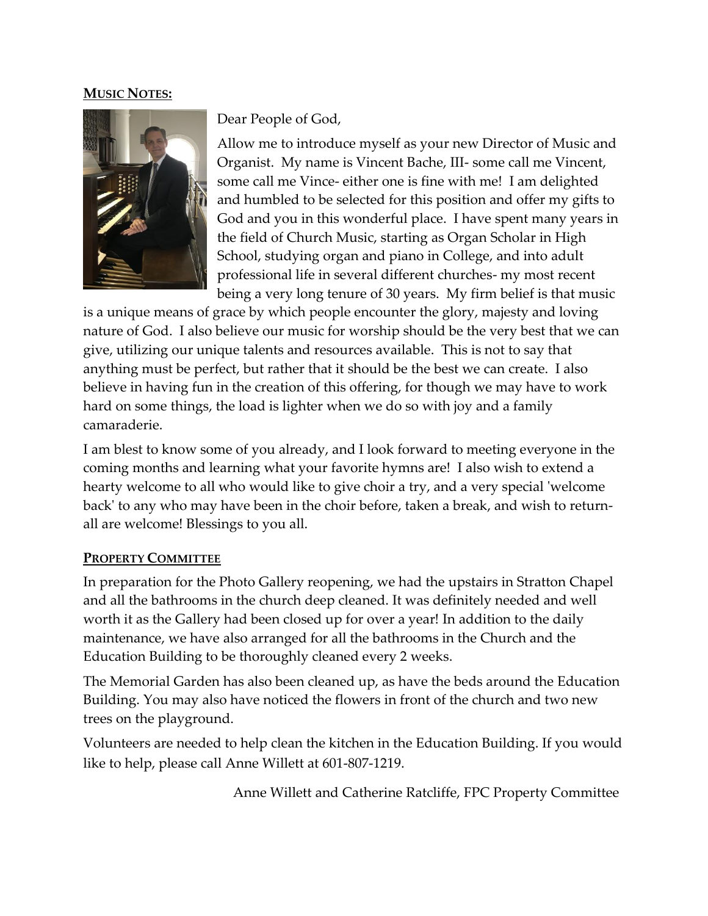### **MUSIC NOTES:**



Dear People of God,

Allow me to introduce myself as your new Director of Music and Organist. My name is Vincent Bache, III- some call me Vincent, some call me Vince- either one is fine with me! I am delighted and humbled to be selected for this position and offer my gifts to God and you in this wonderful place. I have spent many years in the field of Church Music, starting as Organ Scholar in High School, studying organ and piano in College, and into adult professional life in several different churches- my most recent being a very long tenure of 30 years. My firm belief is that music

is a unique means of grace by which people encounter the glory, majesty and loving nature of God. I also believe our music for worship should be the very best that we can give, utilizing our unique talents and resources available. This is not to say that anything must be perfect, but rather that it should be the best we can create. I also believe in having fun in the creation of this offering, for though we may have to work hard on some things, the load is lighter when we do so with joy and a family camaraderie.

I am blest to know some of you already, and I look forward to meeting everyone in the coming months and learning what your favorite hymns are! I also wish to extend a hearty welcome to all who would like to give choir a try, and a very special 'welcome back' to any who may have been in the choir before, taken a break, and wish to returnall are welcome! Blessings to you all.

### **PROPERTY COMMITTEE**

In preparation for the Photo Gallery reopening, we had the upstairs in Stratton Chapel and all the bathrooms in the church deep cleaned. It was definitely needed and well worth it as the Gallery had been closed up for over a year! In addition to the daily maintenance, we have also arranged for all the bathrooms in the Church and the Education Building to be thoroughly cleaned every 2 weeks.

The Memorial Garden has also been cleaned up, as have the beds around the Education Building. You may also have noticed the flowers in front of the church and two new trees on the playground.

Volunteers are needed to help clean the kitchen in the Education Building. If you would like to help, please call Anne Willett at 601-807-1219.

Anne Willett and Catherine Ratcliffe, FPC Property Committee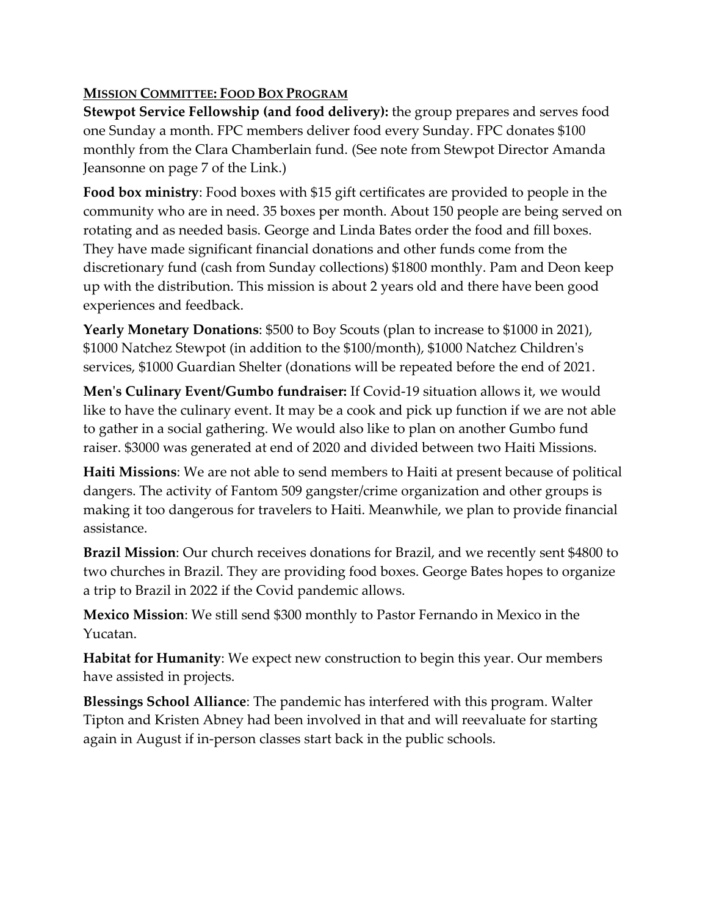# **MISSION COMMITTEE: FOOD BOX PROGRAM**

**Stewpot Service Fellowship (and food delivery):** the group prepares and serves food one Sunday a month. FPC members deliver food every Sunday. FPC donates \$100 monthly from the Clara Chamberlain fund. (See note from Stewpot Director Amanda Jeansonne on page 7 of the Link.)

**Food box ministry**: Food boxes with \$15 gift certificates are provided to people in the community who are in need. 35 boxes per month. About 150 people are being served on rotating and as needed basis. George and Linda Bates order the food and fill boxes. They have made significant financial donations and other funds come from the discretionary fund (cash from Sunday collections) \$1800 monthly. Pam and Deon keep up with the distribution. This mission is about 2 years old and there have been good experiences and feedback.

**Yearly Monetary Donations**: \$500 to Boy Scouts (plan to increase to \$1000 in 2021), \$1000 Natchez Stewpot (in addition to the \$100/month), \$1000 Natchez Children's services, \$1000 Guardian Shelter (donations will be repeated before the end of 2021.

**Men's Culinary Event/Gumbo fundraiser:** If Covid-19 situation allows it, we would like to have the culinary event. It may be a cook and pick up function if we are not able to gather in a social gathering. We would also like to plan on another Gumbo fund raiser. \$3000 was generated at end of 2020 and divided between two Haiti Missions.

**Haiti Missions**: We are not able to send members to Haiti at present because of political dangers. The activity of Fantom 509 gangster/crime organization and other groups is making it too dangerous for travelers to Haiti. Meanwhile, we plan to provide financial assistance.

**Brazil Mission**: Our church receives donations for Brazil, and we recently sent \$4800 to two churches in Brazil. They are providing food boxes. George Bates hopes to organize a trip to Brazil in 2022 if the Covid pandemic allows.

**Mexico Mission**: We still send \$300 monthly to Pastor Fernando in Mexico in the Yucatan.

**Habitat for Humanity**: We expect new construction to begin this year. Our members have assisted in projects.

**Blessings School Alliance**: The pandemic has interfered with this program. Walter Tipton and Kristen Abney had been involved in that and will reevaluate for starting again in August if in-person classes start back in the public schools.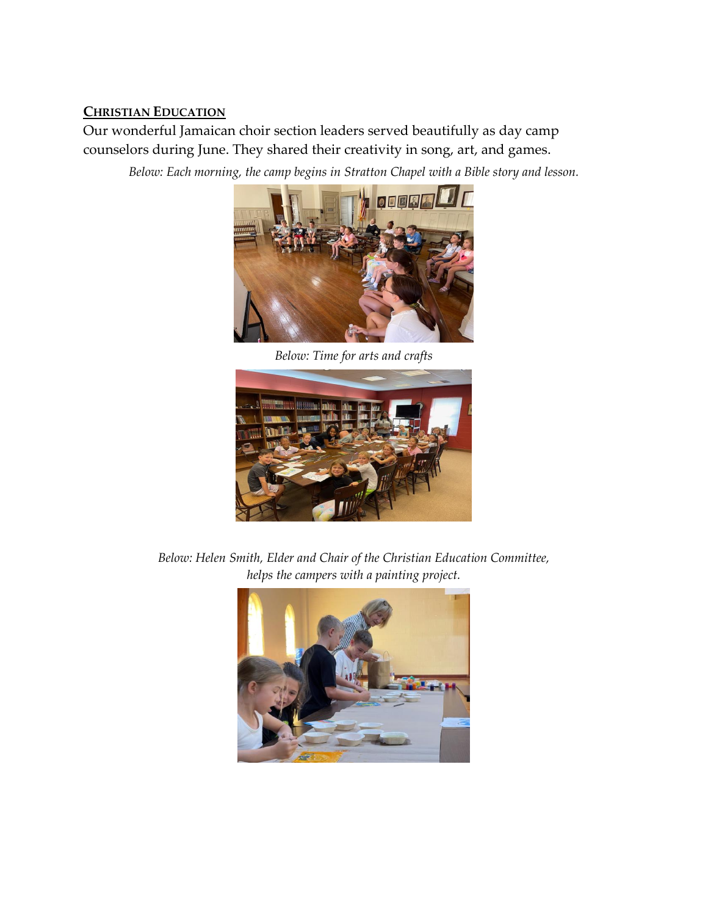## **CHRISTIAN EDUCATION**

Our wonderful Jamaican choir section leaders served beautifully as day camp counselors during June. They shared their creativity in song, art, and games.

*Below: Each morning, the camp begins in Stratton Chapel with a Bible story and lesson.*



*Below: Time for arts and crafts*



*Below: Helen Smith, Elder and Chair of the Christian Education Committee, helps the campers with a painting project.*

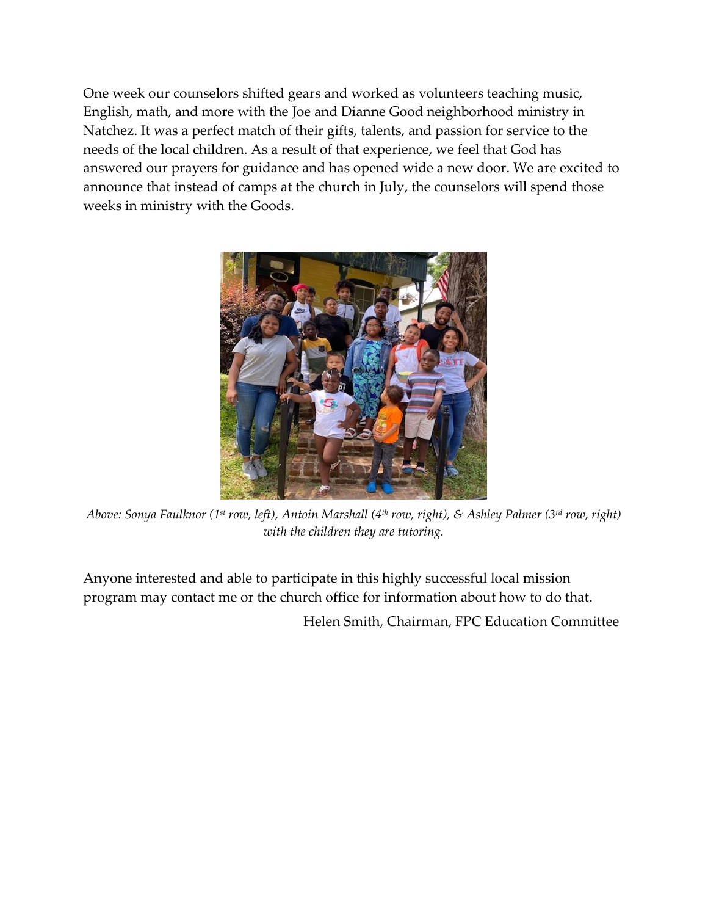One week our counselors shifted gears and worked as volunteers teaching music, English, math, and more with the Joe and Dianne Good neighborhood ministry in Natchez. It was a perfect match of their gifts, talents, and passion for service to the needs of the local children. As a result of that experience, we feel that God has answered our prayers for guidance and has opened wide a new door. We are excited to announce that instead of camps at the church in July, the counselors will spend those weeks in ministry with the Goods.



*Above: Sonya Faulknor (1 st row, left), Antoin Marshall (4th row, right), & Ashley Palmer (3 rd row, right) with the children they are tutoring.* 

Anyone interested and able to participate in this highly successful local mission program may contact me or the church office for information about how to do that.

Helen Smith, Chairman, FPC Education Committee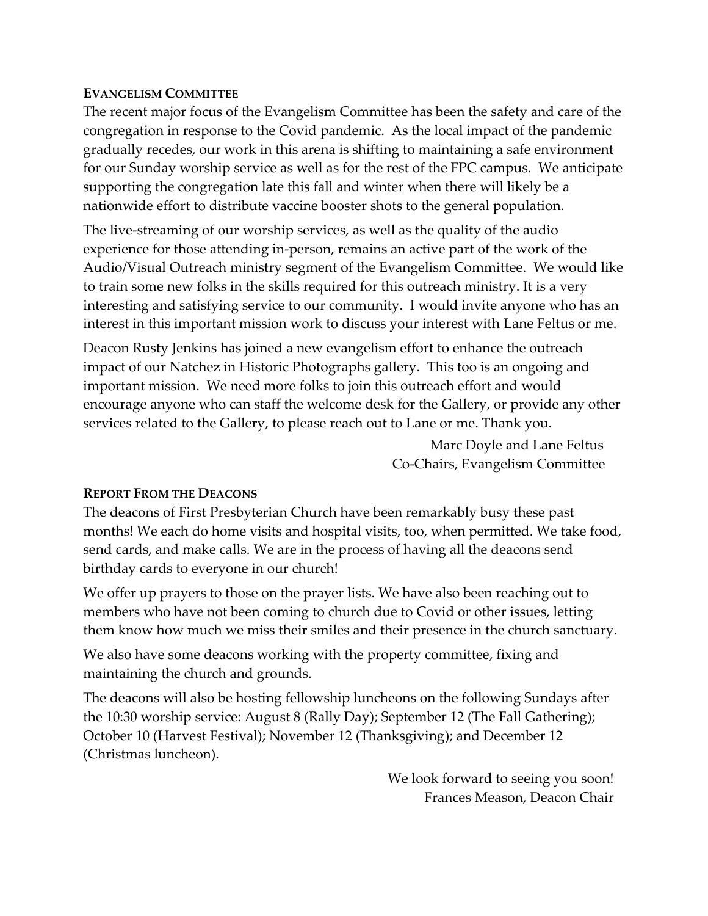## **EVANGELISM COMMITTEE**

The recent major focus of the Evangelism Committee has been the safety and care of the congregation in response to the Covid pandemic. As the local impact of the pandemic gradually recedes, our work in this arena is shifting to maintaining a safe environment for our Sunday worship service as well as for the rest of the FPC campus. We anticipate supporting the congregation late this fall and winter when there will likely be a nationwide effort to distribute vaccine booster shots to the general population.

The live-streaming of our worship services, as well as the quality of the audio experience for those attending in-person, remains an active part of the work of the Audio/Visual Outreach ministry segment of the Evangelism Committee. We would like to train some new folks in the skills required for this outreach ministry. It is a very interesting and satisfying service to our community. I would invite anyone who has an interest in this important mission work to discuss your interest with Lane Feltus or me.

Deacon Rusty Jenkins has joined a new evangelism effort to enhance the outreach impact of our Natchez in Historic Photographs gallery. This too is an ongoing and important mission. We need more folks to join this outreach effort and would encourage anyone who can staff the welcome desk for the Gallery, or provide any other services related to the Gallery, to please reach out to Lane or me. Thank you.

> Marc Doyle and Lane Feltus Co-Chairs, Evangelism Committee

# **REPORT FROM THE DEACONS**

The deacons of First Presbyterian Church have been remarkably busy these past months! We each do home visits and hospital visits, too, when permitted. We take food, send cards, and make calls. We are in the process of having all the deacons send birthday cards to everyone in our church!

We offer up prayers to those on the prayer lists. We have also been reaching out to members who have not been coming to church due to Covid or other issues, letting them know how much we miss their smiles and their presence in the church sanctuary.

We also have some deacons working with the property committee, fixing and maintaining the church and grounds.

The deacons will also be hosting fellowship luncheons on the following Sundays after the 10:30 worship service: August 8 (Rally Day); September 12 (The Fall Gathering); October 10 (Harvest Festival); November 12 (Thanksgiving); and December 12 (Christmas luncheon).

> We look forward to seeing you soon! Frances Meason, Deacon Chair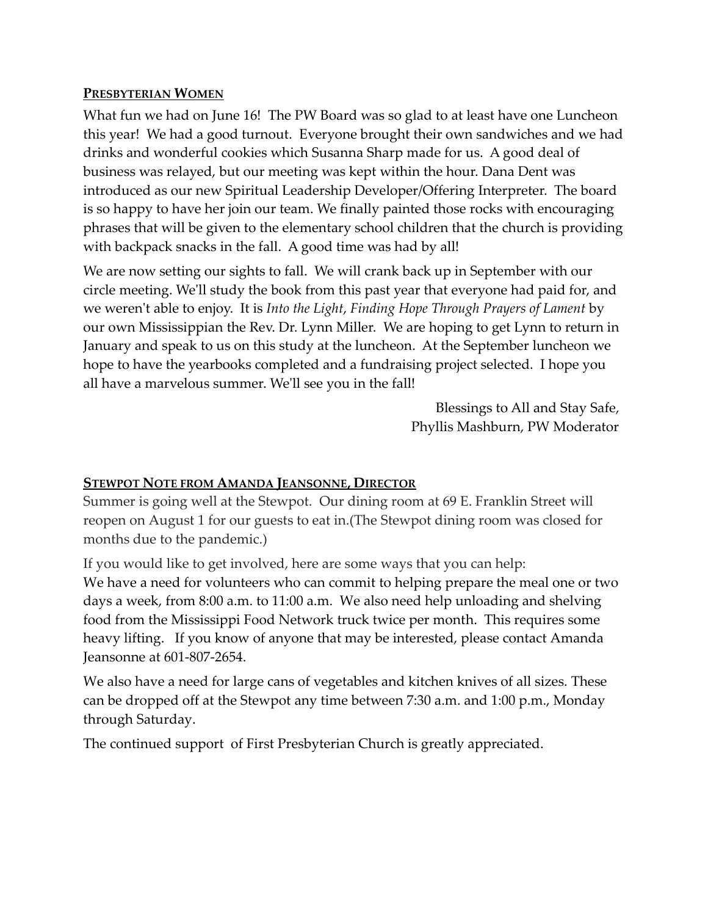### **PRESBYTERIAN WOMEN**

What fun we had on June 16! The PW Board was so glad to at least have one Luncheon this year! We had a good turnout. Everyone brought their own sandwiches and we had drinks and wonderful cookies which Susanna Sharp made for us. A good deal of business was relayed, but our meeting was kept within the hour. Dana Dent was introduced as our new Spiritual Leadership Developer/Offering Interpreter. The board is so happy to have her join our team. We finally painted those rocks with encouraging phrases that will be given to the elementary school children that the church is providing with backpack snacks in the fall. A good time was had by all!

We are now setting our sights to fall. We will crank back up in September with our circle meeting. We'll study the book from this past year that everyone had paid for, and we weren't able to enjoy. It is *Into the Light*, *Finding Hope Through Prayers of Lament* by our own Mississippian the Rev. Dr. Lynn Miller. We are hoping to get Lynn to return in January and speak to us on this study at the luncheon. At the September luncheon we hope to have the yearbooks completed and a fundraising project selected. I hope you all have a marvelous summer. We'll see you in the fall!

> Blessings to All and Stay Safe, Phyllis Mashburn, PW Moderator

## **STEWPOT NOTE FROM AMANDA JEANSONNE, DIRECTOR**

Summer is going well at the Stewpot. Our dining room at 69 E. Franklin Street will reopen on August 1 for our guests to eat in.(The Stewpot dining room was closed for months due to the pandemic.)

If you would like to get involved, here are some ways that you can help: We have a need for volunteers who can commit to helping prepare the meal one or two days a week, from 8:00 a.m. to 11:00 a.m. We also need help unloading and shelving food from the Mississippi Food Network truck twice per month. This requires some heavy lifting. If you know of anyone that may be interested, please contact Amanda Jeansonne at 601-807-2654.

We also have a need for large cans of vegetables and kitchen knives of all sizes. These can be dropped off at the Stewpot any time between 7:30 a.m. and 1:00 p.m., Monday through Saturday.

The continued support of First Presbyterian Church is greatly appreciated.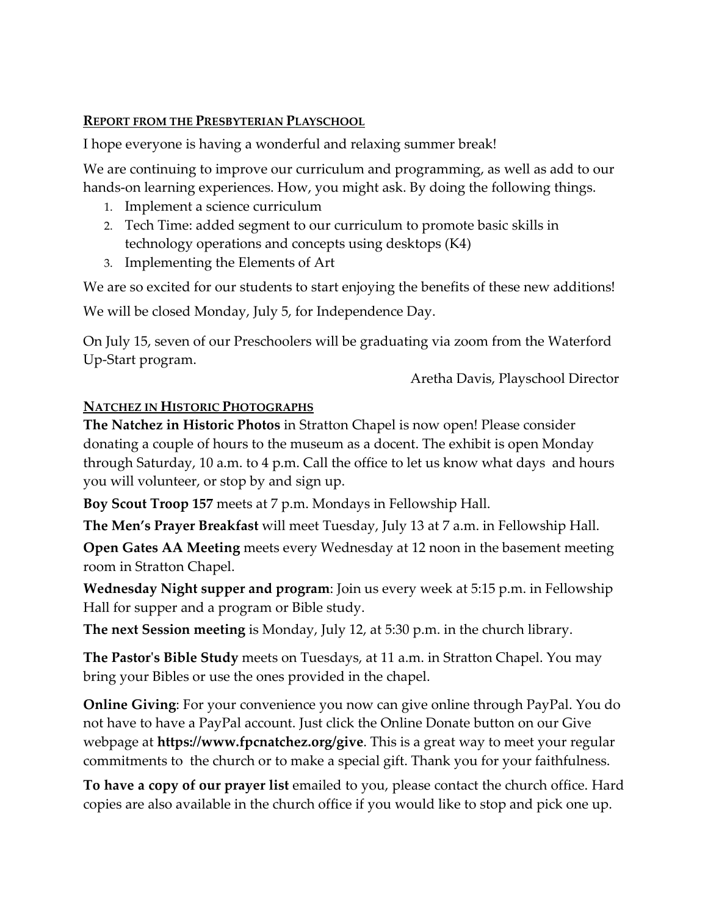### **REPORT FROM THE PRESBYTERIAN PLAYSCHOOL**

I hope everyone is having a wonderful and relaxing summer break!

We are continuing to improve our curriculum and programming, as well as add to our hands-on learning experiences. How, you might ask. By doing the following things.

- 1. Implement a science curriculum
- 2. Tech Time: added segment to our curriculum to promote basic skills in technology operations and concepts using desktops (K4)
- 3. Implementing the Elements of Art

We are so excited for our students to start enjoying the benefits of these new additions!

We will be closed Monday, July 5, for Independence Day.

On July 15, seven of our Preschoolers will be graduating via zoom from the Waterford Up-Start program.

Aretha Davis, Playschool Director

# **NATCHEZ IN HISTORIC PHOTOGRAPHS**

**The Natchez in Historic Photos** in Stratton Chapel is now open! Please consider donating a couple of hours to the museum as a docent. The exhibit is open Monday through Saturday, 10 a.m. to 4 p.m. Call the office to let us know what days and hours you will volunteer, or stop by and sign up.

**Boy Scout Troop 157** meets at 7 p.m. Mondays in Fellowship Hall.

**The Men's Prayer Breakfast** will meet Tuesday, July 13 at 7 a.m. in Fellowship Hall.

**Open Gates AA Meeting** meets every Wednesday at 12 noon in the basement meeting room in Stratton Chapel.

**Wednesday Night supper and program**: Join us every week at 5:15 p.m. in Fellowship Hall for supper and a program or Bible study.

**The next Session meeting** is Monday, July 12, at 5:30 p.m. in the church library.

**The Pastor's Bible Study** meets on Tuesdays, at 11 a.m. in Stratton Chapel. You may bring your Bibles or use the ones provided in the chapel.

**Online Giving**: For your convenience you now can give online through PayPal. You do not have to have a PayPal account. Just click the Online Donate button on our Give webpage at **https://www.fpcnatchez.org/give**. This is a great way to meet your regular commitments to the church or to make a special gift. Thank you for your faithfulness.

**To have a copy of our prayer list** emailed to you, please contact the church office. Hard copies are also available in the church office if you would like to stop and pick one up.